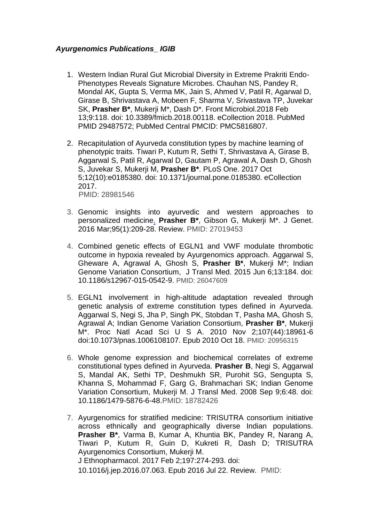## *Ayurgenomics Publications\_ IGIB*

- 1. Western Indian Rural Gut Microbial Diversity in Extreme Prakriti Endo-Phenotypes Reveals Signature Microbes. Chauhan NS, Pandey R, Mondal AK, Gupta S, Verma MK, Jain S, Ahmed V, Patil R, Agarwal D, Girase B, Shrivastava A, Mobeen F, Sharma V, Srivastava TP, Juvekar SK, **Prasher B\***, Mukerji M\*, Dash D\*. Front Microbiol.2018 Feb 13;9:118. doi: 10.3389/fmicb.2018.00118. eCollection 2018. PubMed PMID 29487572; PubMed Central PMCID: PMC5816807.
- 2. Recapitulation of Ayurveda constitution types by machine learning of phenotypic traits. Tiwari P, Kutum R, Sethi T, Shrivastava A, Girase B, Aggarwal S, Patil R, Agarwal D, Gautam P, Agrawal A, Dash D, Ghosh S, Juvekar S, Mukerji M, **Prasher B\***. PLoS One. 2017 Oct 5;12(10):e0185380. doi: 10.1371/journal.pone.0185380. eCollection 2017. PMID: 28981546
- 3. Genomic insights into ayurvedic and western approaches to personalized medicine. **Prasher B\***, Gibson G, Mukerji M\*. J Genet. 2016 Mar;95(1):209-28. Review. PMID: 27019453
- 4. Combined genetic effects of EGLN1 and VWF modulate thrombotic outcome in hypoxia revealed by Ayurgenomics approach. Aggarwal S, Gheware A, Agrawal A, Ghosh S, **Prasher B\***, Mukerji M\*; Indian Genome Variation Consortium, J Transl Med. 2015 Jun 6;13:184. doi: 10.1186/s12967-015-0542-9. PMID: 26047609
- 5. EGLN1 involvement in high-altitude adaptation revealed through genetic analysis of extreme constitution types defined in Ayurveda. Aggarwal S, Negi S, Jha P, Singh PK, Stobdan T, Pasha MA, Ghosh S, Agrawal A; Indian Genome Variation Consortium, **Prasher B\***, Mukerji M\*. Proc Natl Acad Sci U S A. 2010 Nov 2;107(44):18961-6 doi:10.1073/pnas.1006108107. Epub 2010 Oct 18. PMID: 20956315
- 6. Whole genome expression and biochemical correlates of extreme constitutional types defined in Ayurveda. **Prasher B**, Negi S, Aggarwal S, Mandal AK, Sethi TP, Deshmukh SR, Purohit SG, Sengupta S, Khanna S, Mohammad F, Garg G, Brahmachari SK; Indian Genome Variation Consortium, Mukerji M. J Transl Med. 2008 Sep 9;6:48. doi: 10.1186/1479-5876-6-48.PMID: 18782426
- 7. Ayurgenomics for stratified medicine: TRISUTRA consortium initiative across ethnically and geographically diverse Indian populations. **Prasher B\***, Varma B, Kumar A, Khuntia BK, Pandey R, Narang A, Tiwari P, Kutum R, Guin D, Kukreti R, Dash D; TRISUTRA Ayurgenomics Consortium, Mukerji M. J Ethnopharmacol. 2017 Feb 2;197:274-293. doi: 10.1016/j.jep.2016.07.063. Epub 2016 Jul 22. Review. PMID: